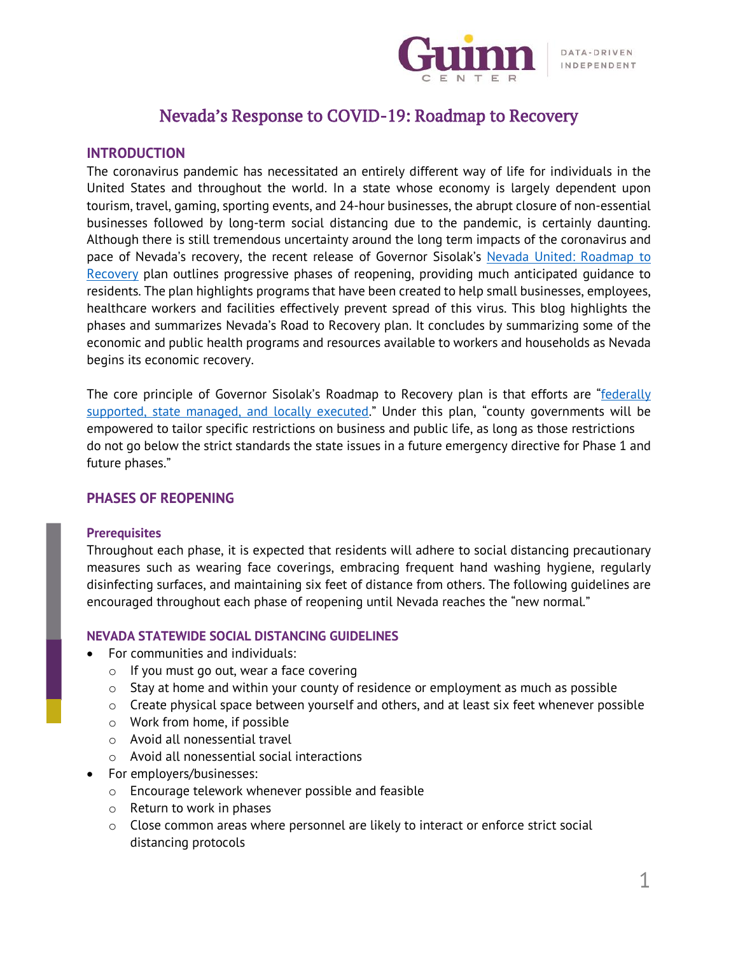

## Nevada's Response to COVID-19: Roadmap to Recovery

## **INTRODUCTION**

The coronavirus pandemic has necessitated an entirely different way of life for individuals in the United States and throughout the world. In a state whose economy is largely dependent upon tourism, travel, gaming, sporting events, and 24-hour businesses, the abrupt closure of non-essential businesses followed by long-term social distancing due to the pandemic, is certainly daunting. Although there is still tremendous uncertainty around the long term impacts of the coronavirus and pace of Nevada's recovery, the recent release of Governor Sisolak's [Nevada United: Roadmap](https://nvhealthresponse.nv.gov/wp-content/uploads/2020/05/NEVADA-UNITED-ROADMAP-TO-RECOVERY-1.pdf) to [Recovery](https://nvhealthresponse.nv.gov/wp-content/uploads/2020/05/NEVADA-UNITED-ROADMAP-TO-RECOVERY-1.pdf) plan outlines progressive phases of reopening, providing much anticipated guidance to residents. The plan highlights programs that have been created to help small businesses, employees, healthcare workers and facilities effectively prevent spread of this virus. This blog highlights the phases and summarizes Nevada's Road to Recovery plan. It concludes by summarizing some of the economic and public health programs and resources available to workers and households as Nevada begins its economic recovery.

The core principle of Governor Sisolak's Roadmap to Recovery plan is that efforts are "federally [supported, state managed, and locally executed](https://nvhealthresponse.nv.gov/wp-content/uploads/2020/05/NEVADA-UNITED-ROADMAP-TO-RECOVERY-1.pdf)." Under this plan, "county governments will be empowered to tailor specific restrictions on business and public life, as long as those restrictions do not go below the strict standards the state issues in a future emergency directive for Phase 1 and future phases."

## **PHASES OF REOPENING**

#### **Prerequisites**

Throughout each phase, it is expected that residents will adhere to social distancing precautionary measures such as wearing face coverings, embracing frequent hand washing hygiene, regularly disinfecting surfaces, and maintaining six feet of distance from others. The following guidelines are encouraged throughout each phase of reopening until Nevada reaches the "new normal."

## **NEVADA STATEWIDE SOCIAL DISTANCING GUIDELINES**

- For communities and individuals:
	- o If you must go out, wear a face covering
	- $\circ$  Stay at home and within your county of residence or employment as much as possible
	- o Create physical space between yourself and others, and at least six feet whenever possible
	- o Work from home, if possible
	- o Avoid all nonessential travel
	- o Avoid all nonessential social interactions
- For employers/businesses:
	- o Encourage telework whenever possible and feasible
	- o Return to work in phases
	- $\circ$  Close common areas where personnel are likely to interact or enforce strict social distancing protocols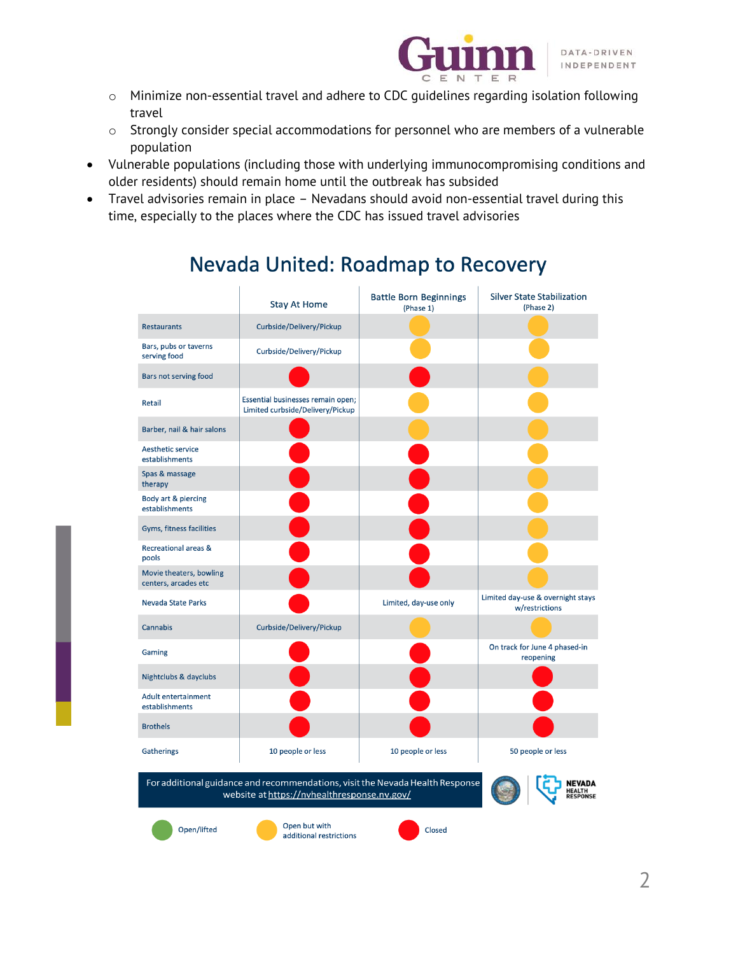

- o Minimize non-essential travel and adhere to CDC guidelines regarding isolation following travel
- $\circ$  Strongly consider special accommodations for personnel who are members of a vulnerable population
- Vulnerable populations (including those with underlying immunocompromising conditions and older residents) should remain home until the outbreak has subsided
- Travel advisories remain in place Nevadans should avoid non-essential travel during this time, especially to the places where the CDC has issued travel advisories

# Nevada United: Roadmap to Recovery

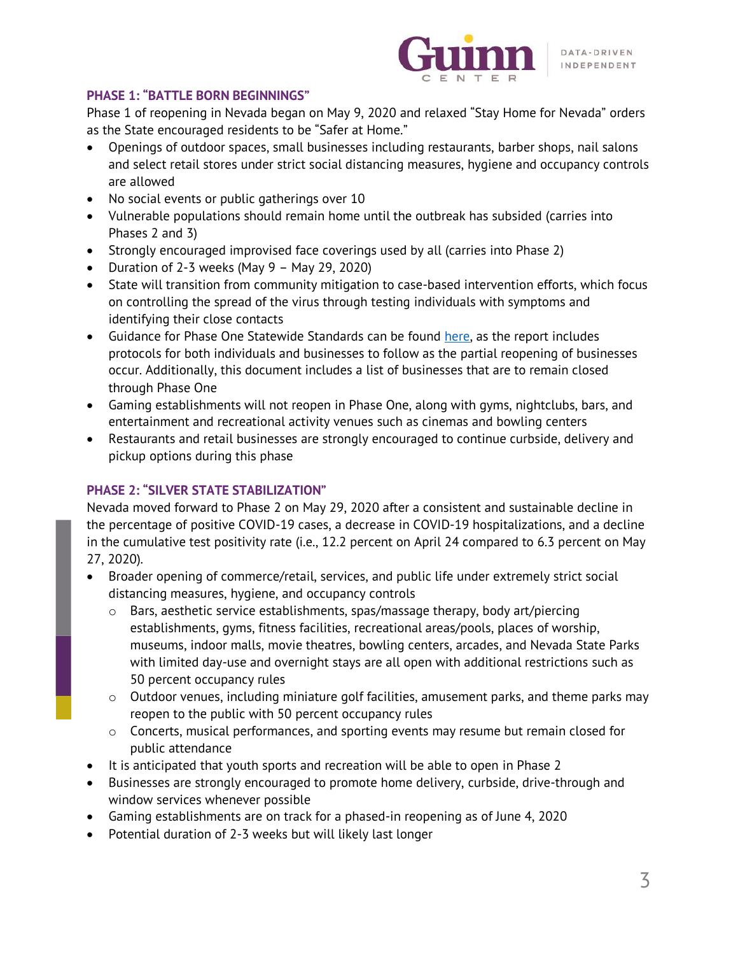

## **PHASE 1: "BATTLE BORN BEGINNINGS"**

Phase 1 of reopening in Nevada began on May 9, 2020 and relaxed "Stay Home for Nevada" orders as the State encouraged residents to be "Safer at Home."

- Openings of outdoor spaces, small businesses including restaurants, barber shops, nail salons and select retail stores under strict social distancing measures, hygiene and occupancy controls are allowed
- No social events or public gatherings over 10
- Vulnerable populations should remain home until the outbreak has subsided (carries into Phases 2 and 3)
- Strongly encouraged improvised face coverings used by all (carries into Phase 2)
- Duration of 2-3 weeks (May 9 May 29, 2020)
- State will transition from community mitigation to case-based intervention efforts, which focus on controlling the spread of the virus through testing individuals with symptoms and identifying their close contacts
- Guidance for Phase One Statewide Standards can be found [here,](https://nvhealthresponse.nv.gov/wp-content/uploads/2020/05/Roadmap-to-Recovery-Phase-One-Initial-Guidance.pdf?utm_medium=email&utm_source=govdelivery) as the report includes protocols for both individuals and businesses to follow as the partial reopening of businesses occur. Additionally, this document includes a list of businesses that are to remain closed through Phase One
- Gaming establishments will not reopen in Phase One, along with gyms, nightclubs, bars, and entertainment and recreational activity venues such as cinemas and bowling centers
- Restaurants and retail businesses are strongly encouraged to continue curbside, delivery and pickup options during this phase

## **PHASE 2: "SILVER STATE STABILIZATION"**

Nevada moved forward to Phase 2 on May 29, 2020 after a consistent and sustainable decline in the percentage of positive COVID-19 cases, a decrease in COVID-19 hospitalizations, and a decline in the cumulative test positivity rate (i.e., 12.2 percent on April 24 compared to 6.3 percent on May 27, 2020).

- Broader opening of commerce/retail, services, and public life under extremely strict social distancing measures, hygiene, and occupancy controls
	- o Bars, aesthetic service establishments, spas/massage therapy, body art/piercing establishments, gyms, fitness facilities, recreational areas/pools, places of worship, museums, indoor malls, movie theatres, bowling centers, arcades, and Nevada State Parks with limited day-use and overnight stays are all open with additional restrictions such as 50 percent occupancy rules
	- o Outdoor venues, including miniature golf facilities, amusement parks, and theme parks may reopen to the public with 50 percent occupancy rules
	- $\circ$  Concerts, musical performances, and sporting events may resume but remain closed for public attendance
- It is anticipated that youth sports and recreation will be able to open in Phase 2
- Businesses are strongly encouraged to promote home delivery, curbside, drive-through and window services whenever possible
- Gaming establishments are on track for a phased-in reopening as of June 4, 2020
- Potential duration of 2-3 weeks but will likely last longer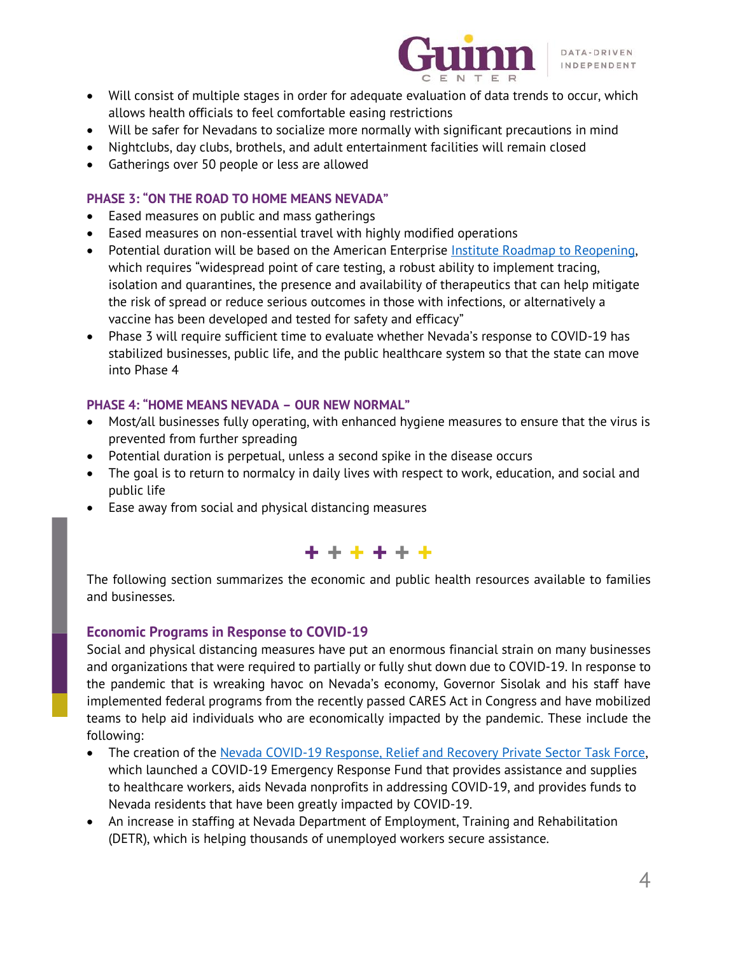

- Will consist of multiple stages in order for adequate evaluation of data trends to occur, which allows health officials to feel comfortable easing restrictions
- Will be safer for Nevadans to socialize more normally with significant precautions in mind
- Nightclubs, day clubs, brothels, and adult entertainment facilities will remain closed
- Gatherings over 50 people or less are allowed

## **PHASE 3: "ON THE ROAD TO HOME MEANS NEVADA"**

- Eased measures on public and mass gatherings
- Eased measures on non-essential travel with highly modified operations
- Potential duration will be based on the American Enterprise [Institute Roadmap to Reopening,](https://www.aei.org/wp-content/uploads/2020/03/National-Coronavirus-Response-a-Road-Map-to-Recovering-2.pdf) which requires "widespread point of care testing, a robust ability to implement tracing, isolation and quarantines, the presence and availability of therapeutics that can help mitigate the risk of spread or reduce serious outcomes in those with infections, or alternatively a vaccine has been developed and tested for safety and efficacy"
- Phase 3 will require sufficient time to evaluate whether Nevada's response to COVID-19 has stabilized businesses, public life, and the public healthcare system so that the state can move into Phase 4

## **PHASE 4: "HOME MEANS NEVADA – OUR NEW NORMAL"**

- Most/all businesses fully operating, with enhanced hygiene measures to ensure that the virus is prevented from further spreading
- Potential duration is perpetual, unless a second spike in the disease occurs
- The goal is to return to normalcy in daily lives with respect to work, education, and social and public life
- Ease away from social and physical distancing measures



The following section summarizes the economic and public health resources available to families and businesses.

## **Economic Programs in Response to COVID-19**

Social and physical distancing measures have put an enormous financial strain on many businesses and organizations that were required to partially or fully shut down due to COVID-19. In response to the pandemic that is wreaking havoc on Nevada's economy, Governor Sisolak and his staff have implemented federal programs from the recently passed CARES Act in Congress and have mobilized teams to help aid individuals who are economically impacted by the pandemic. These include the following:

- The creation of the [Nevada COVID-19 Response, Relief and Recovery Private Sector Task Force,](https://nvc19.org/) which launched a COVID-19 Emergency Response Fund that provides assistance and supplies to healthcare workers, aids Nevada nonprofits in addressing COVID-19, and provides funds to Nevada residents that have been greatly impacted by COVID-19.
- An increase in staffing at Nevada Department of Employment, Training and Rehabilitation (DETR), which is helping thousands of unemployed workers secure assistance.